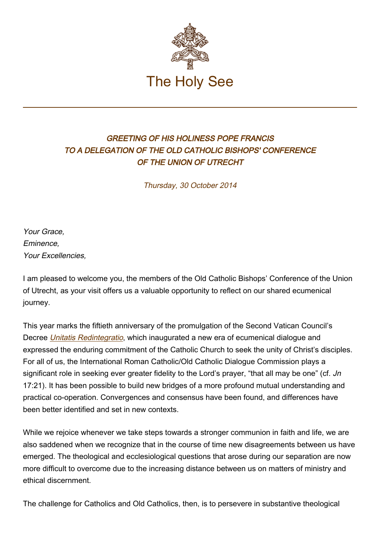

## GREETING OF HIS HOLINESS POPE FRANCIS TO A DELEGATION OF THE OLD CATHOLIC BISHOPS' CONFERENCE OF THE UNION OF UTRECHT

Thursday, 30 October 2014

Your Grace, Eminence, Your Excellencies,

I am pleased to welcome you, the members of the Old Catholic Bishops' Conference of the Union of Utrecht, as your visit offers us a valuable opportunity to reflect on our shared ecumenical journey.

This year marks the fiftieth anniversary of the promulgation of the Second Vatican Council's Decree [Unitatis Redintegratio](http://www.vatican.va/archive/hist_councils/ii_vatican_council/documents/vat-ii_decree_19641121_unitatis-redintegratio_en.html), which inaugurated a new era of ecumenical dialogue and expressed the enduring commitment of the Catholic Church to seek the unity of Christ's disciples. For all of us, the International Roman Catholic/Old Catholic Dialogue Commission plays a significant role in seeking ever greater fidelity to the Lord's prayer, "that all may be one" (cf. Jn 17:21). It has been possible to build new bridges of a more profound mutual understanding and practical co-operation. Convergences and consensus have been found, and differences have been better identified and set in new contexts.

While we rejoice whenever we take steps towards a stronger communion in faith and life, we are also saddened when we recognize that in the course of time new disagreements between us have emerged. The theological and ecclesiological questions that arose during our separation are now more difficult to overcome due to the increasing distance between us on matters of ministry and ethical discernment.

The challenge for Catholics and Old Catholics, then, is to persevere in substantive theological